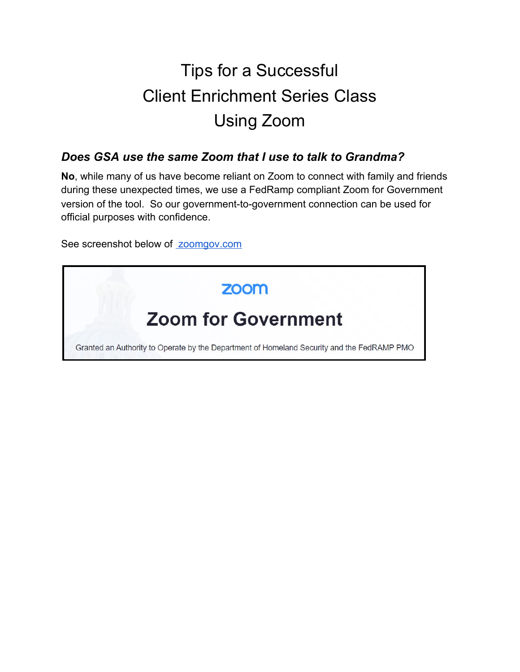# Tips for a Successful Client Enrichment Series Class Using Zoom

#### *Does GSA use the same Zoom that I use to talk to Grandma?*

**No**, while many of us have become reliant on Zoom to connect with family and friends during these unexpected times, we use a FedRamp compliant Zoom for Government version of the tool. So our government-to-government connection can be used for official purposes with confidence.

See screenshot below of [zoomgov.com](https://www.zoomgov.com/)

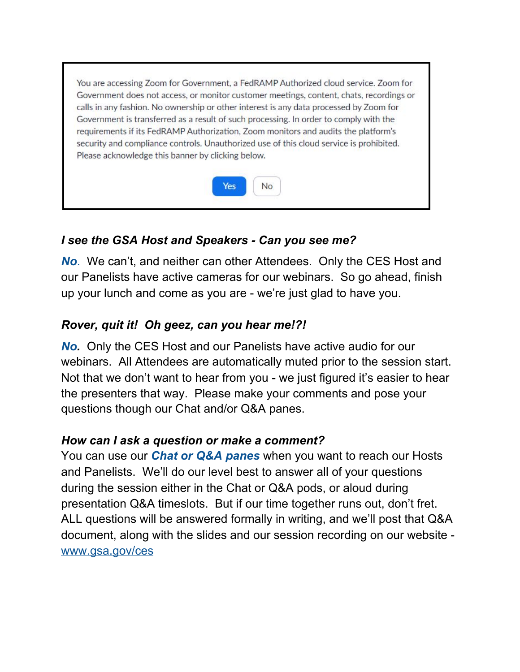You are accessing Zoom for Government, a FedRAMP Authorized cloud service. Zoom for Government does not access, or monitor customer meetings, content, chats, recordings or calls in any fashion. No ownership or other interest is any data processed by Zoom for Government is transferred as a result of such processing. In order to comply with the requirements if its FedRAMP Authorization, Zoom monitors and audits the platform's security and compliance controls. Unauthorized use of this cloud service is prohibited. Please acknowledge this banner by clicking below.



## *I see the GSA Host and Speakers - Can you see me?*

*No*. We can't, and neither can other Attendees. Only the CES Host and our Panelists have active cameras for our webinars. So go ahead, finish up your lunch and come as you are - we're just glad to have you.

# *Rover, quit it! Oh geez, can you hear me!?!*

*No.* Only the CES Host and our Panelists have active audio for our webinars. All Attendees are automatically muted prior to the session start. Not that we don't want to hear from you - we just figured it's easier to hear the presenters that way. Please make your comments and pose your questions though our Chat and/or Q&A panes.

#### *How can I ask a question or make a comment?*

You can use our *Chat or Q&A panes* when you want to reach our Hosts and Panelists. We'll do our level best to answer all of your questions during the session either in the Chat or Q&A pods, or aloud during presentation Q&A timeslots. But if our time together runs out, don't fret. ALL questions will be answered formally in writing, and we'll post that Q&A document, along with the slides and our session recording on our website [www.gsa.gov/ces](http://www.gsa.gov/ces)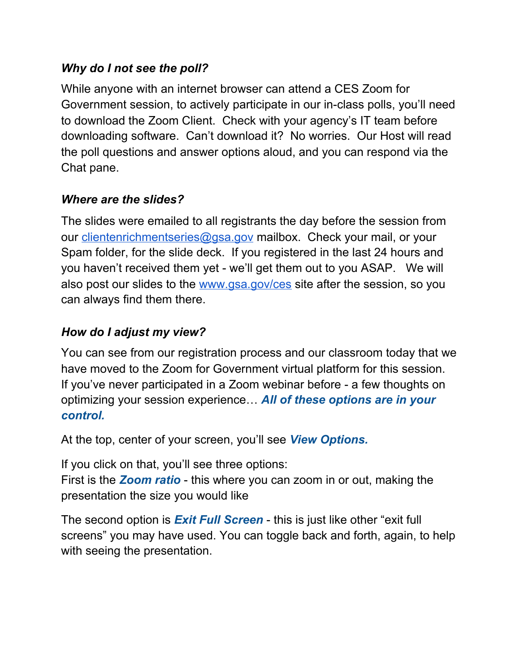## *Why do I not see the poll?*

While anyone with an internet browser can attend a CES Zoom for Government session, to actively participate in our in-class polls, you'll need to download the Zoom Client. Check with your agency's IT team before downloading software. Can't download it? No worries. Our Host will read the poll questions and answer options aloud, and you can respond via the Chat pane.

## *Where are the slides?*

The slides were emailed to all registrants the day before the session from our *[clientenrichmentseries@gsa.gov](mailto:clientenrichmentseries@gsa.gov)* mailbox. Check your mail, or your Spam folder, for the slide deck. If you registered in the last 24 hours and you haven't received them yet - we'll get them out to you ASAP. We will also post our slides to the [www.gsa.gov/ces](http://www.gsa.gov/ces) site after the session, so you can always find them there.

# *How do I adjust my view?*

You can see from our registration process and our classroom today that we have moved to the Zoom for Government virtual platform for this session. If you've never participated in a Zoom webinar before - a few thoughts on optimizing your session experience… *All of these options are in your control.*

At the top, center of your screen, you'll see *View Options.*

If you click on that, you'll see three options:

First is the *Zoom ratio* - this where you can zoom in or out, making the presentation the size you would like

The second option is *Exit Full Screen* - this is just like other "exit full screens" you may have used. You can toggle back and forth, again, to help with seeing the presentation.